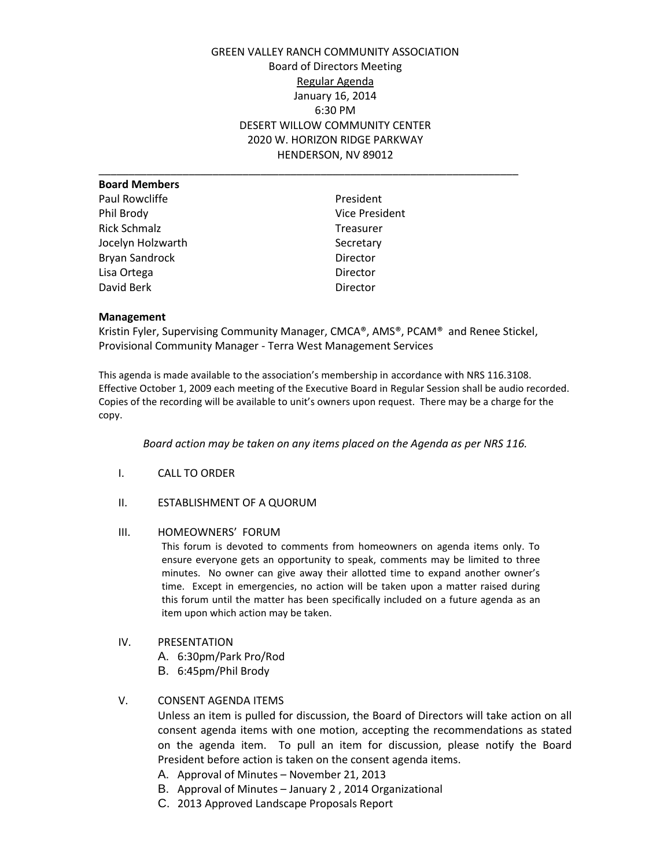# GREEN VALLEY RANCH COMMUNITY ASSOCIATION Board of Directors Meeting Regular Agenda January 16, 2014 6:30 PM DESERT WILLOW COMMUNITY CENTER 2020 W. HORIZON RIDGE PARKWAY HENDERSON, NV 89012

\_\_\_\_\_\_\_\_\_\_\_\_\_\_\_\_\_\_\_\_\_\_\_\_\_\_\_\_\_\_\_\_\_\_\_\_\_\_\_\_\_\_\_\_\_\_\_\_\_\_\_\_\_\_\_\_\_\_\_\_\_\_\_\_\_\_\_\_\_\_

| <b>Board Members</b>  |                       |
|-----------------------|-----------------------|
| Paul Rowcliffe        | President             |
| Phil Brody            | <b>Vice President</b> |
| <b>Rick Schmalz</b>   | <b>Treasurer</b>      |
| Jocelyn Holzwarth     | Secretary             |
| <b>Bryan Sandrock</b> | Director              |
| Lisa Ortega           | Director              |
| David Berk            | Director              |
|                       |                       |

## **Management**

Kristin Fyler, Supervising Community Manager, CMCA®, AMS®, PCAM® and Renee Stickel, Provisional Community Manager - Terra West Management Services

This agenda is made available to the association's membership in accordance with NRS 116.3108. Effective October 1, 2009 each meeting of the Executive Board in Regular Session shall be audio recorded. Copies of the recording will be available to unit's owners upon request. There may be a charge for the copy.

*Board action may be taken on any items placed on the Agenda as per NRS 116.*

- I. CALL TO ORDER
- II. ESTABLISHMENT OF A QUORUM
- III. HOMEOWNERS' FORUM

This forum is devoted to comments from homeowners on agenda items only. To ensure everyone gets an opportunity to speak, comments may be limited to three minutes. No owner can give away their allotted time to expand another owner's time. Except in emergencies, no action will be taken upon a matter raised during this forum until the matter has been specifically included on a future agenda as an item upon which action may be taken.

## IV. PRESENTATION

- A. 6:30pm/Park Pro/Rod
- B. 6:45pm/Phil Brody

## V. CONSENT AGENDA ITEMS

Unless an item is pulled for discussion, the Board of Directors will take action on all consent agenda items with one motion, accepting the recommendations as stated on the agenda item. To pull an item for discussion, please notify the Board President before action is taken on the consent agenda items.

- A. Approval of Minutes November 21, 2013
- B. Approval of Minutes January 2 , 2014 Organizational
- C. 2013 Approved Landscape Proposals Report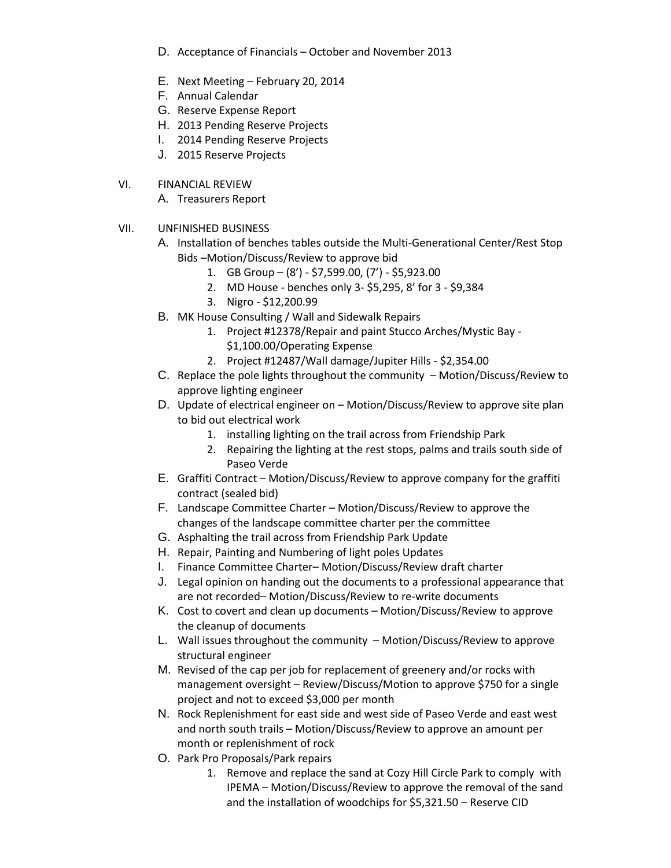- D. Acceptance of Financials October and November 2013
- E. Next Meeting February 20, 2014
- F. Annual Calendar
- G. Reserve Expense Report
- H. 2013 Pending Reserve Projects
- I. 2014 Pending Reserve Projects
- J. 2015 Reserve Projects

# VI. FINANCIAL REVIEW

A. Treasurers Report

- VII. UNFINISHED BUSINESS
	- A. Installation of benches tables outside the Multi-Generational Center/Rest Stop Bids –Motion/Discuss/Review to approve bid
		- 1. GB Group (8') \$7,599.00, (7') \$5,923.00
		- 2. MD House benches only 3- \$5,295, 8' for 3 \$9,384
		- 3. Nigro \$12,200.99
	- B. MK House Consulting / Wall and Sidewalk Repairs
		- 1. Project #12378/Repair and paint Stucco Arches/Mystic Bay \$1,100.00/Operating Expense
		- 2. Project #12487/Wall damage/Jupiter Hills \$2,354.00
	- C. Replace the pole lights throughout the community Motion/Discuss/Review to approve lighting engineer
	- D. Update of electrical engineer on Motion/Discuss/Review to approve site plan to bid out electrical work
		- 1. installing lighting on the trail across from Friendship Park
		- 2. Repairing the lighting at the rest stops, palms and trails south side of Paseo Verde
	- E. Graffiti Contract Motion/Discuss/Review to approve company for the graffiti contract (sealed bid)
	- F. Landscape Committee Charter Motion/Discuss/Review to approve the changes of the landscape committee charter per the committee
	- G. Asphalting the trail across from Friendship Park Update
	- H. Repair, Painting and Numbering of light poles Updates
	- I. Finance Committee Charter– Motion/Discuss/Review draft charter
	- J. Legal opinion on handing out the documents to a professional appearance that are not recorded– Motion/Discuss/Review to re-write documents
	- K. Cost to covert and clean up documents Motion/Discuss/Review to approve the cleanup of documents
	- L. Wall issues throughout the community Motion/Discuss/Review to approve structural engineer
	- M. Revised of the cap per job for replacement of greenery and/or rocks with management oversight – Review/Discuss/Motion to approve \$750 for a single project and not to exceed \$3,000 per month
	- N. Rock Replenishment for east side and west side of Paseo Verde and east west and north south trails – Motion/Discuss/Review to approve an amount per month or replenishment of rock
	- O. Park Pro Proposals/Park repairs
		- 1. Remove and replace the sand at Cozy Hill Circle Park to comply with IPEMA – Motion/Discuss/Review to approve the removal of the sand and the installation of woodchips for \$5,321.50 – Reserve CID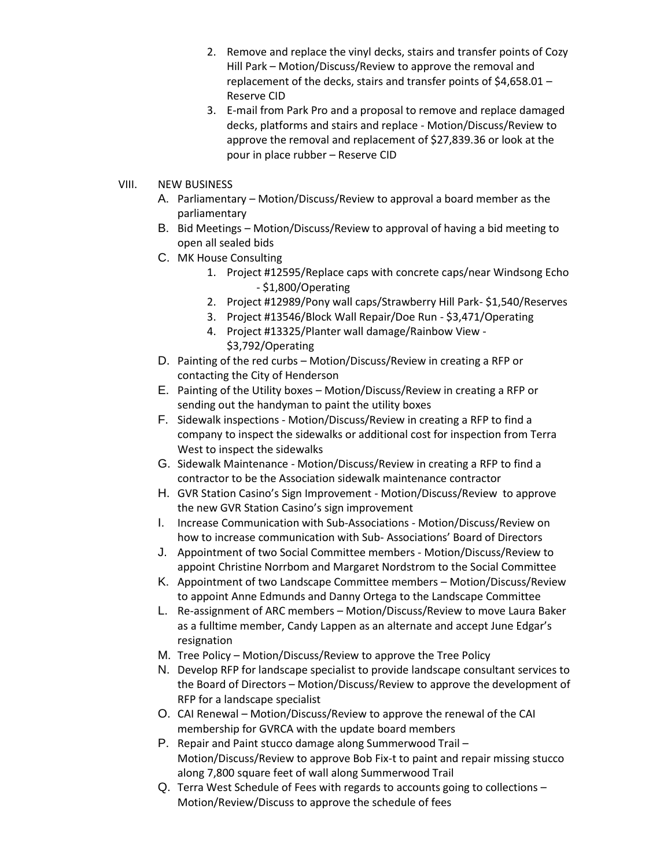- 2. Remove and replace the vinyl decks, stairs and transfer points of Cozy Hill Park – Motion/Discuss/Review to approve the removal and replacement of the decks, stairs and transfer points of \$4,658.01 – Reserve CID
- 3. E-mail from Park Pro and a proposal to remove and replace damaged decks, platforms and stairs and replace - Motion/Discuss/Review to approve the removal and replacement of \$27,839.36 or look at the pour in place rubber – Reserve CID
- VIII. NEW BUSINESS
	- A. Parliamentary Motion/Discuss/Review to approval a board member as the parliamentary
	- B. Bid Meetings Motion/Discuss/Review to approval of having a bid meeting to open all sealed bids
	- C. MK House Consulting
		- 1. Project #12595/Replace caps with concrete caps/near Windsong Echo - \$1,800/Operating
		- 2. Project #12989/Pony wall caps/Strawberry Hill Park- \$1,540/Reserves
		- 3. Project #13546/Block Wall Repair/Doe Run \$3,471/Operating
		- 4. Project #13325/Planter wall damage/Rainbow View \$3,792/Operating
	- D. Painting of the red curbs Motion/Discuss/Review in creating a RFP or contacting the City of Henderson
	- E. Painting of the Utility boxes Motion/Discuss/Review in creating a RFP or sending out the handyman to paint the utility boxes
	- F. Sidewalk inspections Motion/Discuss/Review in creating a RFP to find a company to inspect the sidewalks or additional cost for inspection from Terra West to inspect the sidewalks
	- G. Sidewalk Maintenance Motion/Discuss/Review in creating a RFP to find a contractor to be the Association sidewalk maintenance contractor
	- H. GVR Station Casino's Sign Improvement Motion/Discuss/Review to approve the new GVR Station Casino's sign improvement
	- I. Increase Communication with Sub-Associations Motion/Discuss/Review on how to increase communication with Sub- Associations' Board of Directors
	- J. Appointment of two Social Committee members Motion/Discuss/Review to appoint Christine Norrbom and Margaret Nordstrom to the Social Committee
	- K. Appointment of two Landscape Committee members Motion/Discuss/Review to appoint Anne Edmunds and Danny Ortega to the Landscape Committee
	- L. Re-assignment of ARC members Motion/Discuss/Review to move Laura Baker as a fulltime member, Candy Lappen as an alternate and accept June Edgar's resignation
	- M. Tree Policy Motion/Discuss/Review to approve the Tree Policy
	- N. Develop RFP for landscape specialist to provide landscape consultant services to the Board of Directors – Motion/Discuss/Review to approve the development of RFP for a landscape specialist
	- O. CAI Renewal Motion/Discuss/Review to approve the renewal of the CAI membership for GVRCA with the update board members
	- P. Repair and Paint stucco damage along Summerwood Trail Motion/Discuss/Review to approve Bob Fix-t to paint and repair missing stucco along 7,800 square feet of wall along Summerwood Trail
	- Q. Terra West Schedule of Fees with regards to accounts going to collections Motion/Review/Discuss to approve the schedule of fees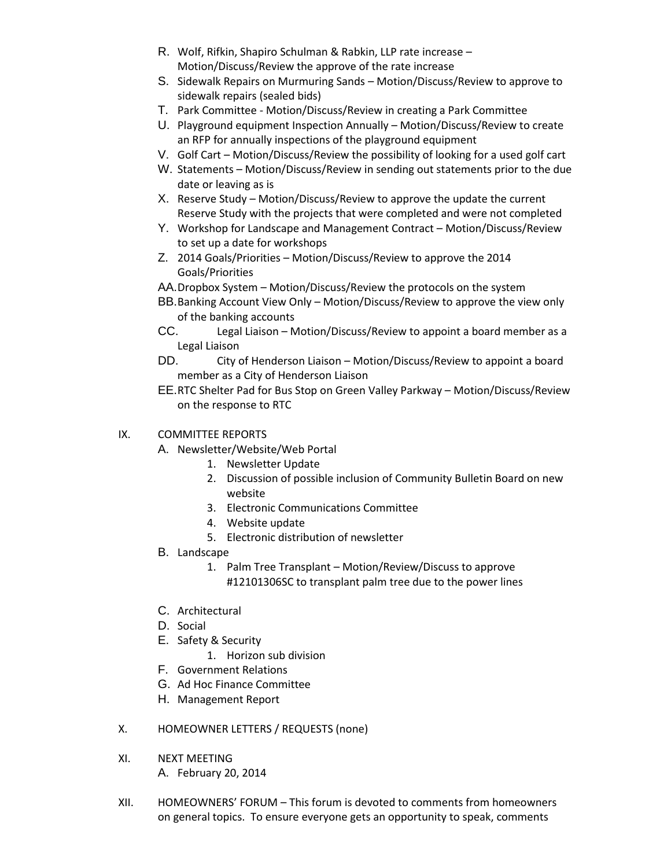- R. Wolf, Rifkin, Shapiro Schulman & Rabkin, LLP rate increase Motion/Discuss/Review the approve of the rate increase
- S. Sidewalk Repairs on Murmuring Sands Motion/Discuss/Review to approve to sidewalk repairs (sealed bids)
- T. Park Committee Motion/Discuss/Review in creating a Park Committee
- U. Playground equipment Inspection Annually Motion/Discuss/Review to create an RFP for annually inspections of the playground equipment
- V. Golf Cart Motion/Discuss/Review the possibility of looking for a used golf cart
- W. Statements Motion/Discuss/Review in sending out statements prior to the due date or leaving as is
- X. Reserve Study Motion/Discuss/Review to approve the update the current Reserve Study with the projects that were completed and were not completed
- Y. Workshop for Landscape and Management Contract Motion/Discuss/Review to set up a date for workshops
- Z. 2014 Goals/Priorities Motion/Discuss/Review to approve the 2014 Goals/Priorities
- AA.Dropbox System Motion/Discuss/Review the protocols on the system
- BB.Banking Account View Only Motion/Discuss/Review to approve the view only of the banking accounts
- CC. Legal Liaison Motion/Discuss/Review to appoint a board member as a Legal Liaison
- DD. City of Henderson Liaison Motion/Discuss/Review to appoint a board member as a City of Henderson Liaison
- EE.RTC Shelter Pad for Bus Stop on Green Valley Parkway Motion/Discuss/Review on the response to RTC
- IX. COMMITTEE REPORTS
	- A. Newsletter/Website/Web Portal
		- 1. Newsletter Update
		- 2. Discussion of possible inclusion of Community Bulletin Board on new website
		- 3. Electronic Communications Committee
		- 4. Website update
		- 5. Electronic distribution of newsletter
	- B. Landscape
		- 1. Palm Tree Transplant Motion/Review/Discuss to approve #12101306SC to transplant palm tree due to the power lines
	- C. Architectural
	- D. Social
	- E. Safety & Security
		- 1. Horizon sub division
	- F. Government Relations
	- G. Ad Hoc Finance Committee
	- H. Management Report
- X. HOMEOWNER LETTERS / REQUESTS (none)
- XI. NEXT MEETING A. February 20, 2014
- XII. HOMEOWNERS' FORUM This forum is devoted to comments from homeowners on general topics. To ensure everyone gets an opportunity to speak, comments